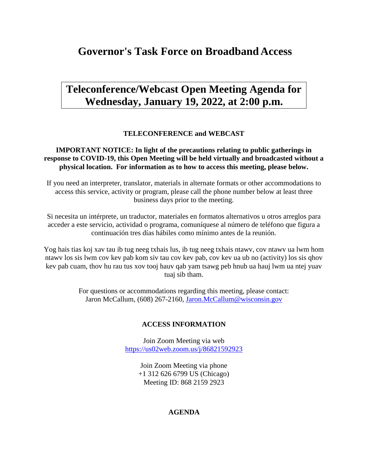# **Governor's Task Force on Broadband Access**

# **Teleconference/Webcast Open Meeting Agenda for Wednesday, January 19, 2022, at 2:00 p.m.**

### **TELECONFERENCE and WEBCAST**

### **IMPORTANT NOTICE: In light of the precautions relating to public gatherings in response to COVID-19, this Open Meeting will be held virtually and broadcasted without a physical location. For information as to how to access this meeting, please below.**

If you need an interpreter, translator, materials in alternate formats or other accommodations to access this service, activity or program, please call the phone number below at least three business days prior to the meeting.

Si necesita un intérprete, un traductor, materiales en formatos alternativos u otros arreglos para acceder a este servicio, actividad o programa, comuníquese al número de teléfono que figura a continuación tres días hábiles como mínimo antes de la reunión.

Yog hais tias koj xav tau ib tug neeg txhais lus, ib tug neeg txhais ntawv, cov ntawv ua lwm hom ntawv los sis lwm cov kev pab kom siv tau cov kev pab, cov kev ua ub no (activity) los sis qhov kev pab cuam, thov hu rau tus xov tooj hauv qab yam tsawg peb hnub ua hauj lwm ua ntej yuav tuaj sib tham.

> For questions or accommodations regarding this meeting, please contact: Jaron McCallum, (608) 267-2160, [Jaron.McCallum@wisconsin.gov](mailto:Jaron.McCallum@wisconsin.gov)

### **ACCESS INFORMATION**

Join Zoom Meeting via web <https://us02web.zoom.us/j/86821592923>

> Join Zoom Meeting via phone +1 312 626 6799 US (Chicago) Meeting ID: 868 2159 2923

#### **AGENDA**